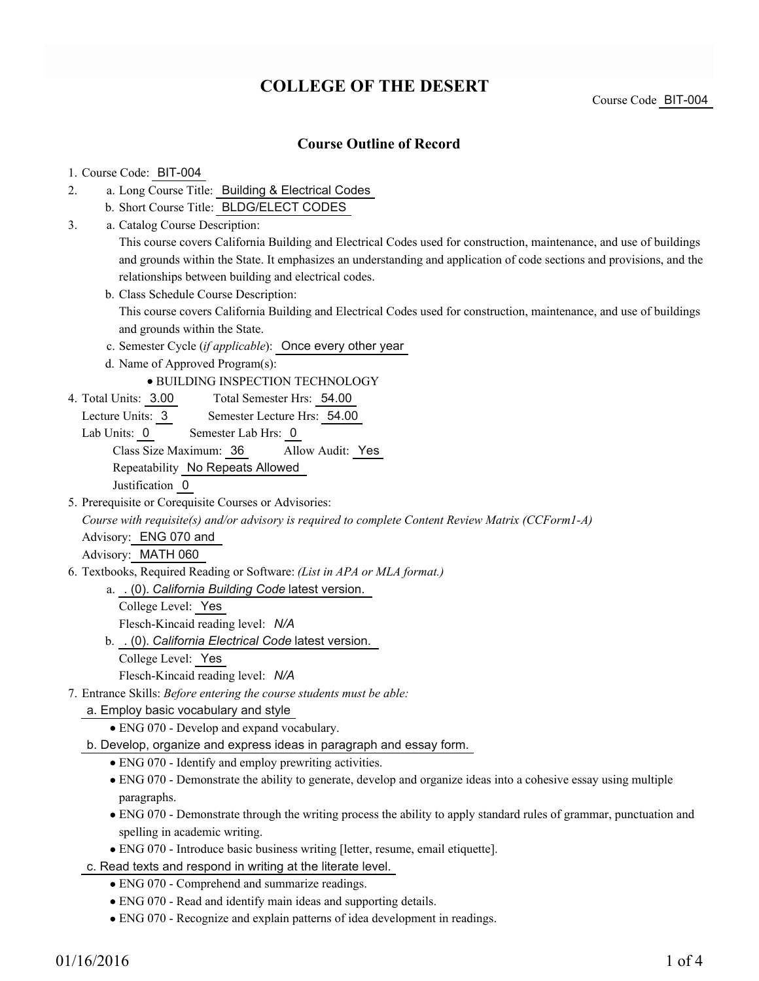# **COLLEGE OF THE DESERT**

Course Code BIT-004

## **Course Outline of Record**

#### 1. Course Code: BIT-004

- a. Long Course Title: Building & Electrical Codes 2.
	- b. Short Course Title: BLDG/ELECT CODES
- Catalog Course Description: a. 3.

This course covers California Building and Electrical Codes used for construction, maintenance, and use of buildings and grounds within the State. It emphasizes an understanding and application of code sections and provisions, and the relationships between building and electrical codes.

- b. Class Schedule Course Description: This course covers California Building and Electrical Codes used for construction, maintenance, and use of buildings and grounds within the State.
- c. Semester Cycle (*if applicable*): Once every other year
- d. Name of Approved Program(s):

#### BUILDING INSPECTION TECHNOLOGY

- Total Semester Hrs: 54.00 4. Total Units: 3.00
- Lecture Units: 3 Semester Lecture Hrs: 54.00
- Lab Units: 0 Semester Lab Hrs: 0 Class Size Maximum: 36 Allow Audit: Yes Repeatability No Repeats Allowed

Justification 0

5. Prerequisite or Corequisite Courses or Advisories:

*Course with requisite(s) and/or advisory is required to complete Content Review Matrix (CCForm1-A)*

Advisory: ENG 070 and

Advisory: MATH 060

Textbooks, Required Reading or Software: *(List in APA or MLA format.)* 6.

. (0). *California Building Code* latest version. a.

- College Level: Yes Flesch-Kincaid reading level: *N/A*
- b. . (0). *California Electrical Code* latest version.
	- College Level: Yes

Flesch-Kincaid reading level: *N/A*

Entrance Skills: *Before entering the course students must be able:* 7.

#### a. Employ basic vocabulary and style

- ENG 070 Develop and expand vocabulary.
- b. Develop, organize and express ideas in paragraph and essay form.
	- ENG 070 Identify and employ prewriting activities.
	- ENG 070 Demonstrate the ability to generate, develop and organize ideas into a cohesive essay using multiple paragraphs.
	- ENG 070 Demonstrate through the writing process the ability to apply standard rules of grammar, punctuation and spelling in academic writing.
	- ENG 070 Introduce basic business writing [letter, resume, email etiquette].
- c. Read texts and respond in writing at the literate level.
	- ENG 070 Comprehend and summarize readings.
	- ENG 070 Read and identify main ideas and supporting details.
	- ENG 070 Recognize and explain patterns of idea development in readings.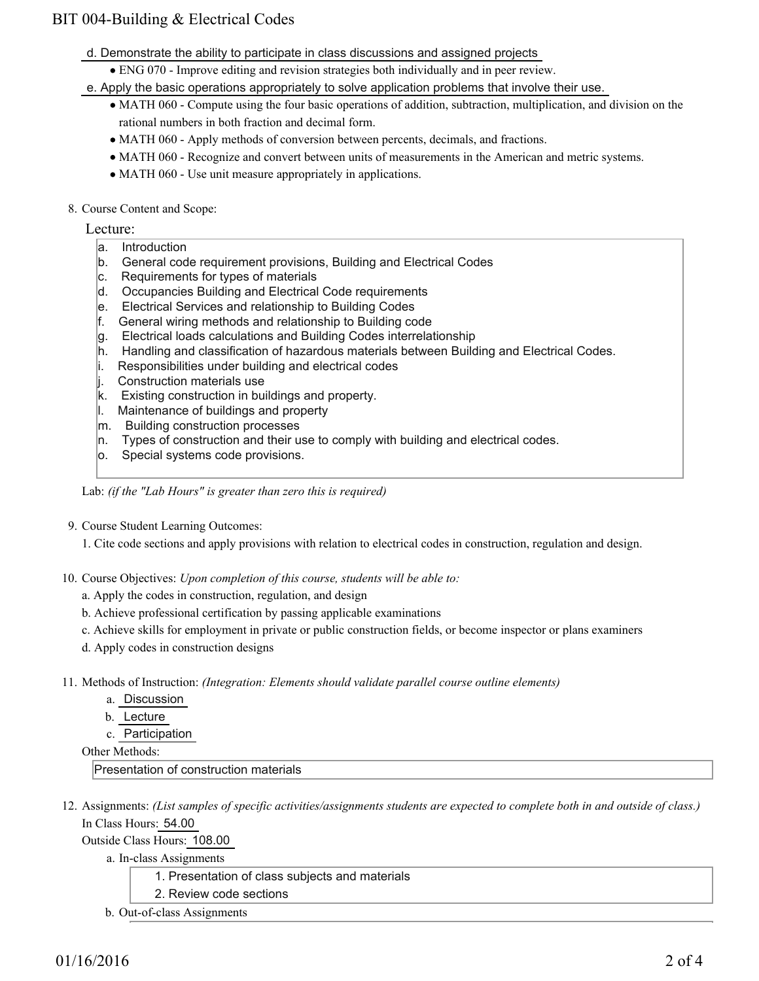## BIT 004-Building & Electrical Codes

- d. Demonstrate the ability to participate in class discussions and assigned projects
	- ENG 070 Improve editing and revision strategies both individually and in peer review.
- e. Apply the basic operations appropriately to solve application problems that involve their use.
	- MATH 060 Compute using the four basic operations of addition, subtraction, multiplication, and division on the rational numbers in both fraction and decimal form.
	- MATH 060 Apply methods of conversion between percents, decimals, and fractions.
	- MATH 060 Recognize and convert between units of measurements in the American and metric systems.
	- MATH 060 Use unit measure appropriately in applications.
- 8. Course Content and Scope:

Lecture:

- a. Introduction
- b. General code requirement provisions, Building and Electrical Codes
- c. Requirements for types of materials
- d. Occupancies Building and Electrical Code requirements
- e. Electrical Services and relationship to Building Codes
- f. General wiring methods and relationship to Building code
- g. Electrical loads calculations and Building Codes interrelationship
- h. Handling and classification of hazardous materials between Building and Electrical Codes.
- i. Responsibilities under building and electrical codes
- j. Construction materials use
- k. Existing construction in buildings and property.
- l. Maintenance of buildings and property
- m. Building construction processes
- $n.$  Types of construction and their use to comply with building and electrical codes.
- o. Special systems code provisions.

Lab: *(if the "Lab Hours" is greater than zero this is required)*

9. Course Student Learning Outcomes:

1. Cite code sections and apply provisions with relation to electrical codes in construction, regulation and design.

- 10. Course Objectives: Upon completion of this course, students will be able to:
	- a. Apply the codes in construction, regulation, and design
	- b. Achieve professional certification by passing applicable examinations
	- c. Achieve skills for employment in private or public construction fields, or become inspector or plans examiners
	- d. Apply codes in construction designs
- Methods of Instruction: *(Integration: Elements should validate parallel course outline elements)* 11.
	- a. Discussion
	- b. Lecture
	- c. Participation

Other Methods:

Presentation of construction materials

12. Assignments: (List samples of specific activities/assignments students are expected to complete both in and outside of class.) In Class Hours: 54.00

Outside Class Hours: 108.00

a. In-class Assignments

- 1. Presentation of class subjects and materials
- 2. Review code sections
- b. Out-of-class Assignments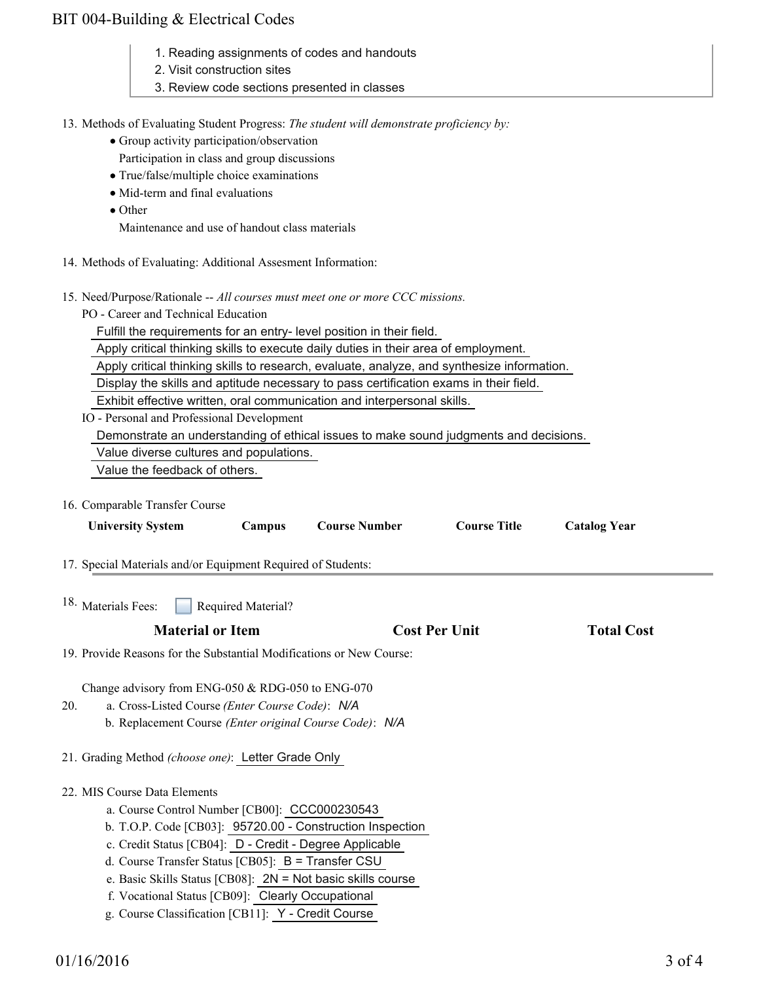## BIT 004-Building & Electrical Codes

- 1. Reading assignments of codes and handouts
- 2. Visit construction sites
- 3. Review code sections presented in classes
- 13. Methods of Evaluating Student Progress: The student will demonstrate proficiency by:
	- Group activity participation/observation
	- Participation in class and group discussions
	- True/false/multiple choice examinations
	- Mid-term and final evaluations
	- Other

Maintenance and use of handout class materials

- 14. Methods of Evaluating: Additional Assesment Information:
- 15. Need/Purpose/Rationale -- All courses must meet one or more CCC missions.
	- PO Career and Technical Education

Fulfill the requirements for an entry- level position in their field.

Apply critical thinking skills to execute daily duties in their area of employment.

Apply critical thinking skills to research, evaluate, analyze, and synthesize information.

Display the skills and aptitude necessary to pass certification exams in their field.

Exhibit effective written, oral communication and interpersonal skills.

IO - Personal and Professional Development

Demonstrate an understanding of ethical issues to make sound judgments and decisions.

Value diverse cultures and populations.

Value the feedback of others.

16. Comparable Transfer Course

| <b>University System</b>                                                                                                                                                                                                                                      | Campus             | <b>Course Number</b>                                      | <b>Course Title</b>  | <b>Catalog Year</b> |  |
|---------------------------------------------------------------------------------------------------------------------------------------------------------------------------------------------------------------------------------------------------------------|--------------------|-----------------------------------------------------------|----------------------|---------------------|--|
| 17. Special Materials and/or Equipment Required of Students:                                                                                                                                                                                                  |                    |                                                           |                      |                     |  |
| 18. Materials Fees:                                                                                                                                                                                                                                           | Required Material? |                                                           |                      |                     |  |
| <b>Material or Item</b>                                                                                                                                                                                                                                       |                    |                                                           | <b>Cost Per Unit</b> | <b>Total Cost</b>   |  |
| 19. Provide Reasons for the Substantial Modifications or New Course:                                                                                                                                                                                          |                    |                                                           |                      |                     |  |
| Change advisory from ENG-050 & RDG-050 to ENG-070<br>a. Cross-Listed Course (Enter Course Code): N/A<br>20.<br>b. Replacement Course (Enter original Course Code): N/A<br>21. Grading Method (choose one): Letter Grade Only                                  |                    |                                                           |                      |                     |  |
| 22. MIS Course Data Elements<br>a. Course Control Number [CB00]: CCC000230543<br>c. Credit Status [CB04]: D - Credit - Degree Applicable<br>d. Course Transfer Status [CB05]: B = Transfer CSU<br>e. Basic Skills Status [CB08]: 2N = Not basic skills course |                    | b. T.O.P. Code [CB03]: 95720.00 - Construction Inspection |                      |                     |  |
| f. Vocational Status [CB09]: Clearly Occupational<br>g. Course Classification [CB11]: Y - Credit Course                                                                                                                                                       |                    |                                                           |                      |                     |  |